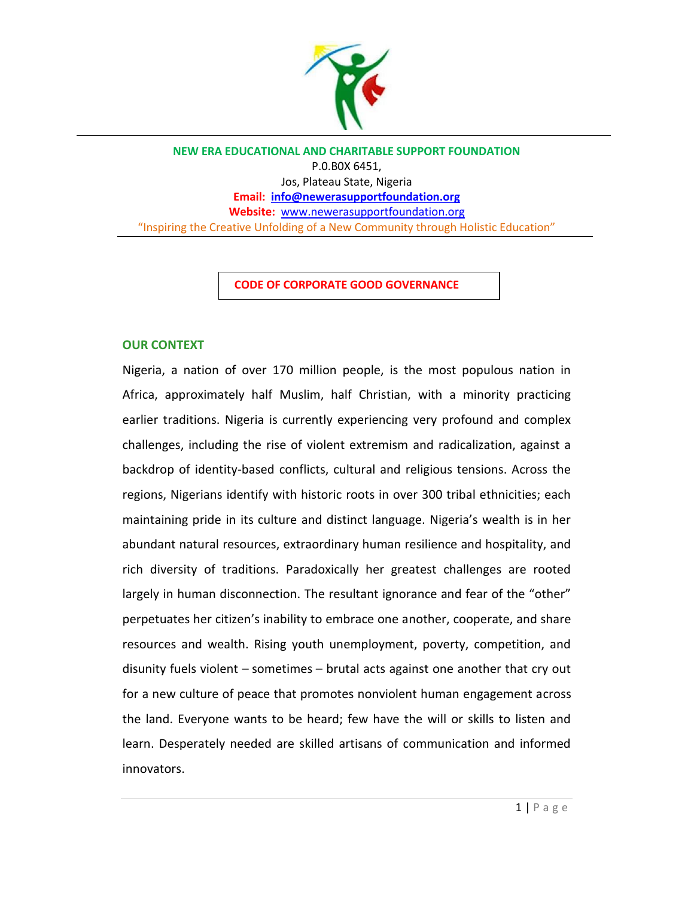

**NEW ERA EDUCATIONAL AND CHARITABLE SUPPORT FOUNDATION** P.0.B0X 6451, Jos, Plateau State, Nigeria **Email: [info@newerasupportfoundation.org](mailto:info@newerasupportfoundation.org) Website:** [www.newerasupportfoundation.org](http://www.newerasupportfoundation.org/) "Inspiring the Creative Unfolding of a New Community through Holistic Education"

**CODE OF CORPORATE GOOD GOVERNANCE**

#### **OUR CONTEXT**

Nigeria, a nation of over 170 million people, is the most populous nation in Africa, approximately half Muslim, half Christian, with a minority practicing earlier traditions. Nigeria is currently experiencing very profound and complex challenges, including the rise of violent extremism and radicalization, against a backdrop of identity-based conflicts, cultural and religious tensions. Across the regions, Nigerians identify with historic roots in over 300 tribal ethnicities; each maintaining pride in its culture and distinct language. Nigeria's wealth is in her abundant natural resources, extraordinary human resilience and hospitality, and rich diversity of traditions. Paradoxically her greatest challenges are rooted largely in human disconnection. The resultant ignorance and fear of the "other" perpetuates her citizen's inability to embrace one another, cooperate, and share resources and wealth. Rising youth unemployment, poverty, competition, and disunity fuels violent – sometimes – brutal acts against one another that cry out for a new culture of peace that promotes nonviolent human engagement across the land. Everyone wants to be heard; few have the will or skills to listen and learn. Desperately needed are skilled artisans of communication and informed innovators.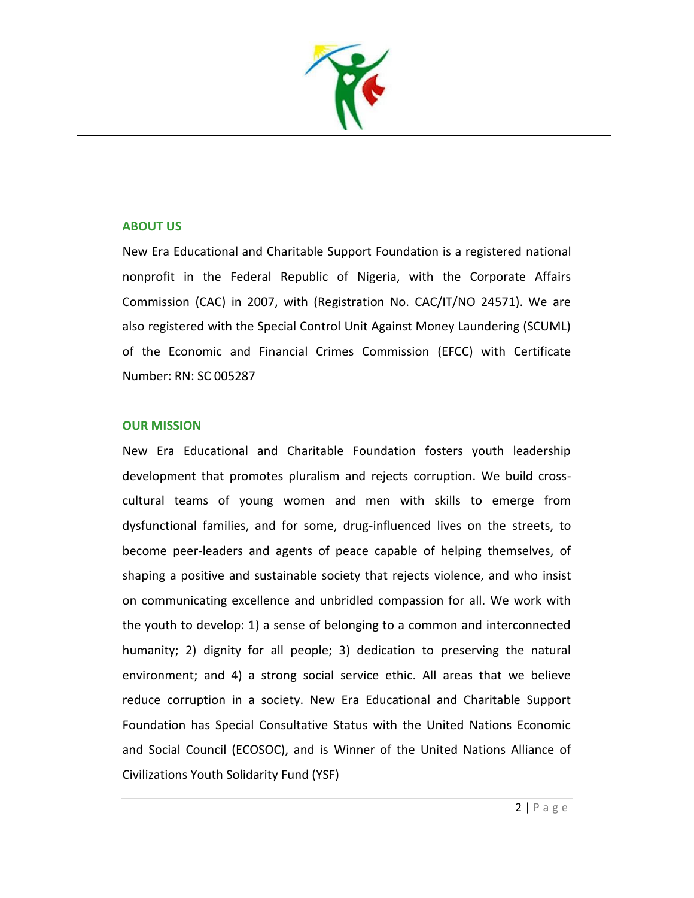

#### **ABOUT US**

New Era Educational and Charitable Support Foundation is a registered national nonprofit in the Federal Republic of Nigeria, with the Corporate Affairs Commission (CAC) in 2007, with (Registration No. CAC/IT/NO 24571). We are also registered with the Special Control Unit Against Money Laundering (SCUML) of the Economic and Financial Crimes Commission (EFCC) with Certificate Number: RN: SC 005287

#### **OUR MISSION**

New Era Educational and Charitable Foundation fosters youth leadership development that promotes pluralism and rejects corruption. We build crosscultural teams of young women and men with skills to emerge from dysfunctional families, and for some, drug-influenced lives on the streets, to become peer-leaders and agents of peace capable of helping themselves, of shaping a positive and sustainable society that rejects violence, and who insist on communicating excellence and unbridled compassion for all. We work with the youth to develop: 1) a sense of belonging to a common and interconnected humanity; 2) dignity for all people; 3) dedication to preserving the natural environment; and 4) a strong social service ethic. All areas that we believe reduce corruption in a society. New Era Educational and Charitable Support Foundation has Special Consultative Status with the United Nations Economic and Social Council (ECOSOC), and is Winner of the United Nations Alliance of Civilizations Youth Solidarity Fund (YSF)

 $2 | P \text{ a ge}$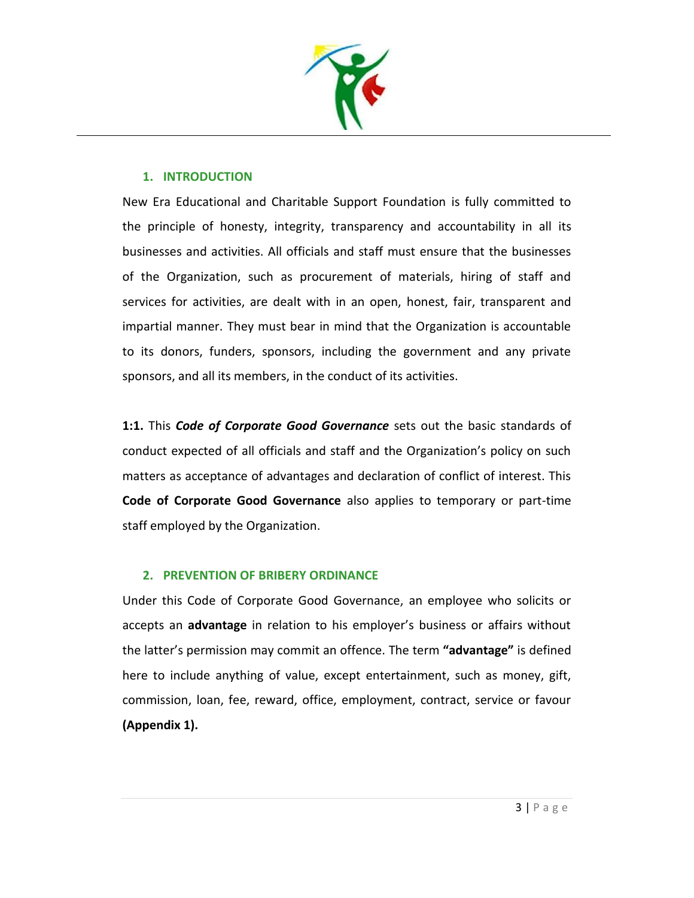

### **1. INTRODUCTION**

New Era Educational and Charitable Support Foundation is fully committed to the principle of honesty, integrity, transparency and accountability in all its businesses and activities. All officials and staff must ensure that the businesses of the Organization, such as procurement of materials, hiring of staff and services for activities, are dealt with in an open, honest, fair, transparent and impartial manner. They must bear in mind that the Organization is accountable to its donors, funders, sponsors, including the government and any private sponsors, and all its members, in the conduct of its activities.

**1:1.** This *Code of Corporate Good Governance* sets out the basic standards of conduct expected of all officials and staff and the Organization's policy on such matters as acceptance of advantages and declaration of conflict of interest. This **Code of Corporate Good Governance** also applies to temporary or part-time staff employed by the Organization.

## **2. PREVENTION OF BRIBERY ORDINANCE**

Under this Code of Corporate Good Governance, an employee who solicits or accepts an **advantage** in relation to his employer's business or affairs without the latter's permission may commit an offence. The term **"advantage"** is defined here to include anything of value, except entertainment, such as money, gift, commission, loan, fee, reward, office, employment, contract, service or favour **(Appendix 1).**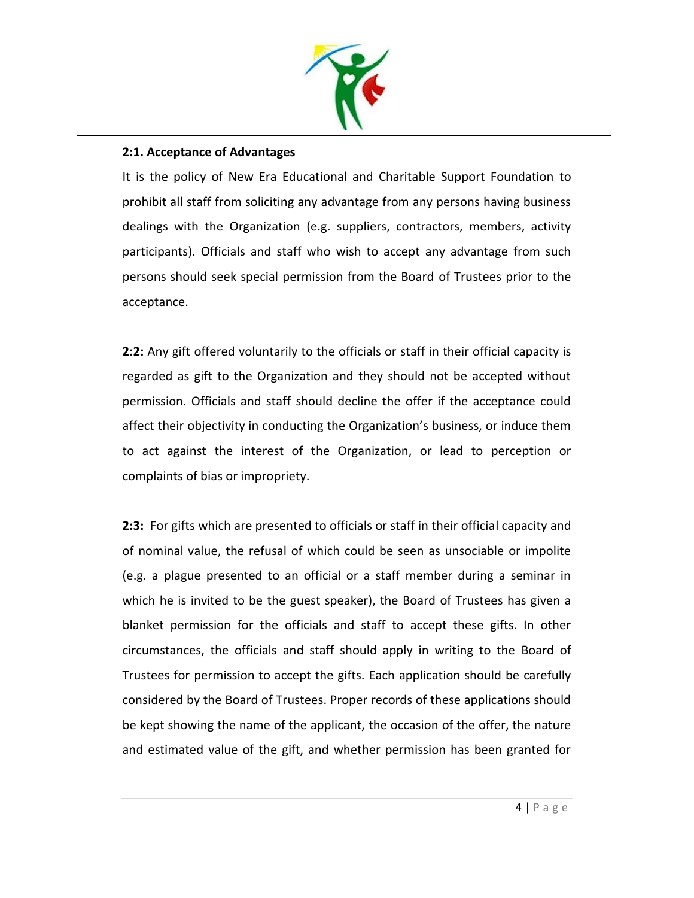

## **2:1. Acceptance of Advantages**

It is the policy of New Era Educational and Charitable Support Foundation to prohibit all staff from soliciting any advantage from any persons having business dealings with the Organization (e.g. suppliers, contractors, members, activity participants). Officials and staff who wish to accept any advantage from such persons should seek special permission from the Board of Trustees prior to the acceptance.

**2:2:** Any gift offered voluntarily to the officials or staff in their official capacity is regarded as gift to the Organization and they should not be accepted without permission. Officials and staff should decline the offer if the acceptance could affect their objectivity in conducting the Organization's business, or induce them to act against the interest of the Organization, or lead to perception or complaints of bias or impropriety.

**2:3:** For gifts which are presented to officials or staff in their official capacity and of nominal value, the refusal of which could be seen as unsociable or impolite (e.g. a plague presented to an official or a staff member during a seminar in which he is invited to be the guest speaker), the Board of Trustees has given a blanket permission for the officials and staff to accept these gifts. In other circumstances, the officials and staff should apply in writing to the Board of Trustees for permission to accept the gifts. Each application should be carefully considered by the Board of Trustees. Proper records of these applications should be kept showing the name of the applicant, the occasion of the offer, the nature and estimated value of the gift, and whether permission has been granted for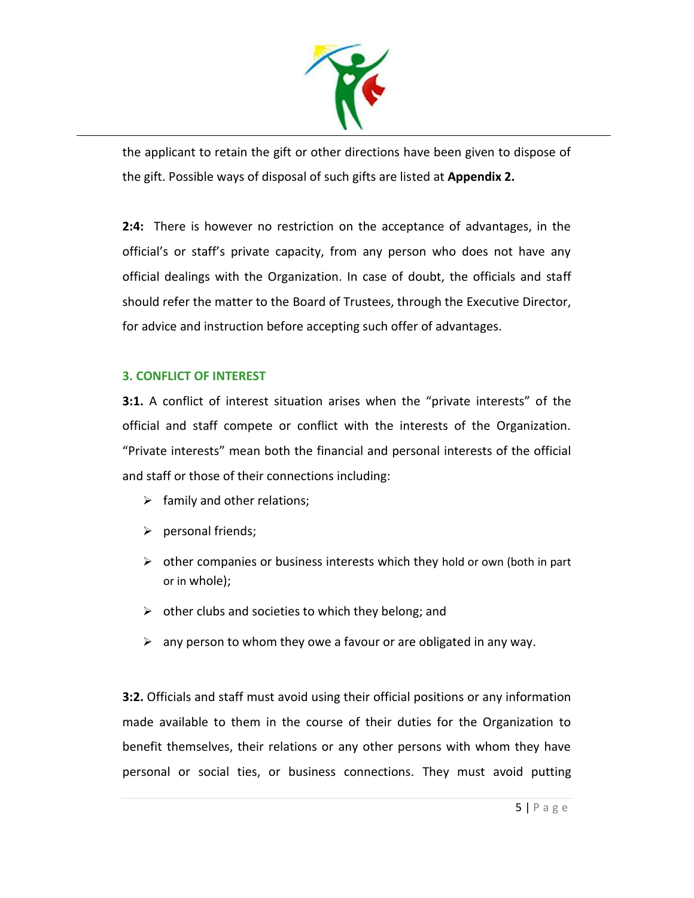

the applicant to retain the gift or other directions have been given to dispose of the gift. Possible ways of disposal of such gifts are listed at **Appendix 2.**

**2:4:** There is however no restriction on the acceptance of advantages, in the official's or staff's private capacity, from any person who does not have any official dealings with the Organization. In case of doubt, the officials and staff should refer the matter to the Board of Trustees, through the Executive Director, for advice and instruction before accepting such offer of advantages.

## **3. CONFLICT OF INTEREST**

**3:1.** A conflict of interest situation arises when the "private interests" of the official and staff compete or conflict with the interests of the Organization. "Private interests" mean both the financial and personal interests of the official and staff or those of their connections including:

- $\triangleright$  family and other relations;
- ➢ personal friends;
- $\triangleright$  other companies or business interests which they hold or own (both in part or in whole);
- $\triangleright$  other clubs and societies to which they belong; and
- $\triangleright$  any person to whom they owe a favour or are obligated in any way.

**3:2.** Officials and staff must avoid using their official positions or any information made available to them in the course of their duties for the Organization to benefit themselves, their relations or any other persons with whom they have personal or social ties, or business connections. They must avoid putting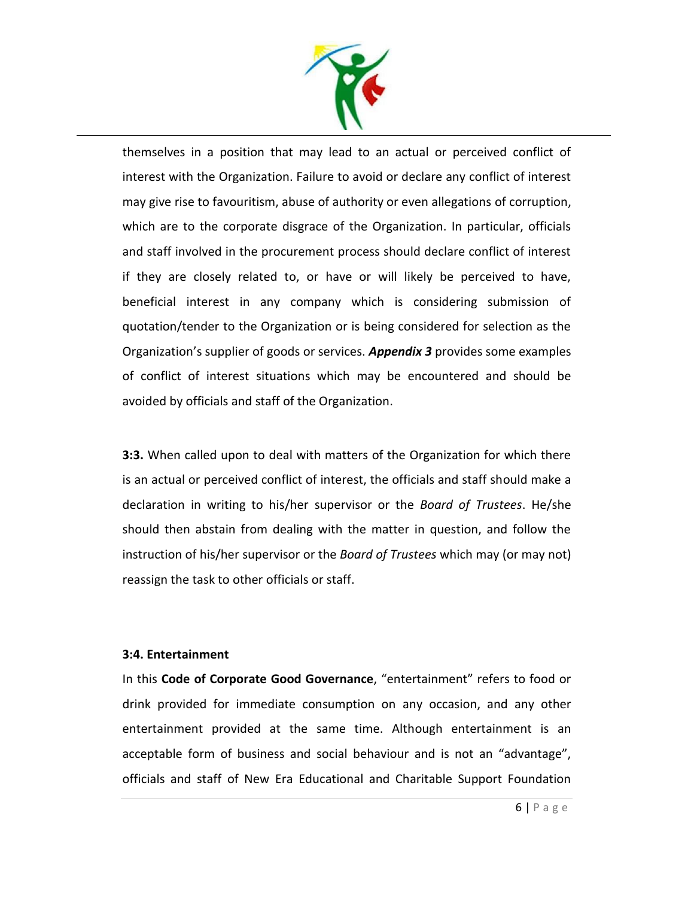

themselves in a position that may lead to an actual or perceived conflict of interest with the Organization. Failure to avoid or declare any conflict of interest may give rise to favouritism, abuse of authority or even allegations of corruption, which are to the corporate disgrace of the Organization. In particular, officials and staff involved in the procurement process should declare conflict of interest if they are closely related to, or have or will likely be perceived to have, beneficial interest in any company which is considering submission of quotation/tender to the Organization or is being considered for selection as the Organization's supplier of goods or services. *Appendix 3* provides some examples of conflict of interest situations which may be encountered and should be avoided by officials and staff of the Organization.

**3:3.** When called upon to deal with matters of the Organization for which there is an actual or perceived conflict of interest, the officials and staff should make a declaration in writing to his/her supervisor or the *Board of Trustees*. He/she should then abstain from dealing with the matter in question, and follow the instruction of his/her supervisor or the *Board of Trustees* which may (or may not) reassign the task to other officials or staff.

#### **3:4. Entertainment**

In this **Code of Corporate Good Governance**, "entertainment" refers to food or drink provided for immediate consumption on any occasion, and any other entertainment provided at the same time. Although entertainment is an acceptable form of business and social behaviour and is not an "advantage", officials and staff of New Era Educational and Charitable Support Foundation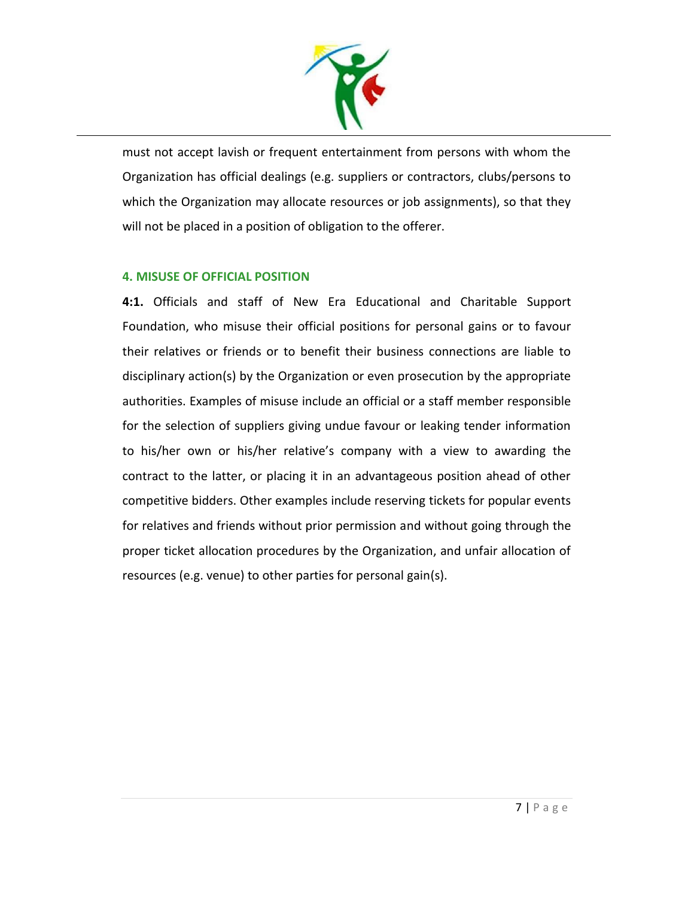

must not accept lavish or frequent entertainment from persons with whom the Organization has official dealings (e.g. suppliers or contractors, clubs/persons to which the Organization may allocate resources or job assignments), so that they will not be placed in a position of obligation to the offerer.

## **4. MISUSE OF OFFICIAL POSITION**

**4:1.** Officials and staff of New Era Educational and Charitable Support Foundation, who misuse their official positions for personal gains or to favour their relatives or friends or to benefit their business connections are liable to disciplinary action(s) by the Organization or even prosecution by the appropriate authorities. Examples of misuse include an official or a staff member responsible for the selection of suppliers giving undue favour or leaking tender information to his/her own or his/her relative's company with a view to awarding the contract to the latter, or placing it in an advantageous position ahead of other competitive bidders. Other examples include reserving tickets for popular events for relatives and friends without prior permission and without going through the proper ticket allocation procedures by the Organization, and unfair allocation of resources (e.g. venue) to other parties for personal gain(s).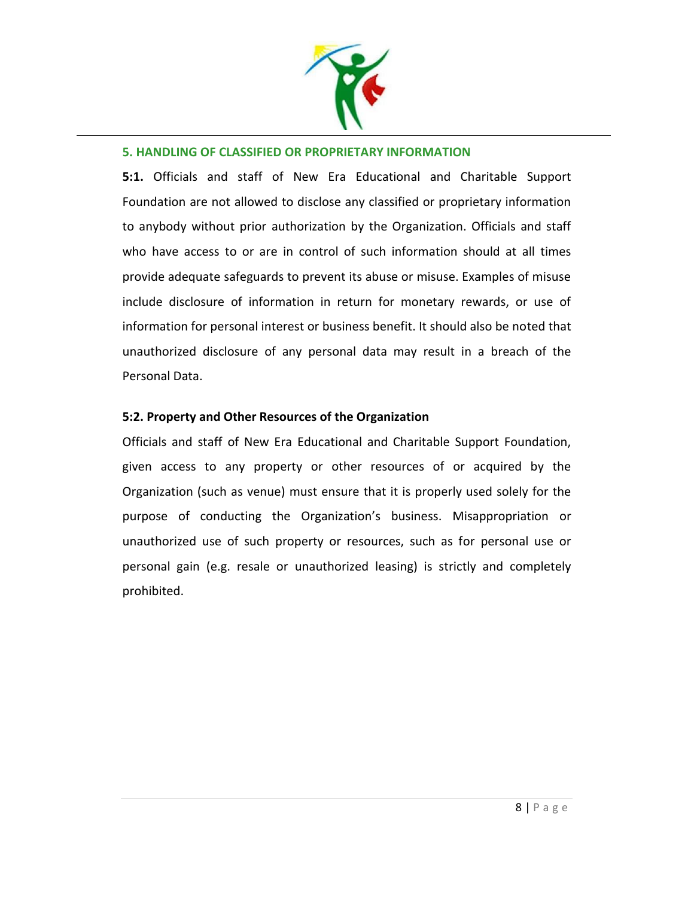

#### **5. HANDLING OF CLASSIFIED OR PROPRIETARY INFORMATION**

**5:1.** Officials and staff of New Era Educational and Charitable Support Foundation are not allowed to disclose any classified or proprietary information to anybody without prior authorization by the Organization. Officials and staff who have access to or are in control of such information should at all times provide adequate safeguards to prevent its abuse or misuse. Examples of misuse include disclosure of information in return for monetary rewards, or use of information for personal interest or business benefit. It should also be noted that unauthorized disclosure of any personal data may result in a breach of the Personal Data.

#### **5:2. Property and Other Resources of the Organization**

Officials and staff of New Era Educational and Charitable Support Foundation, given access to any property or other resources of or acquired by the Organization (such as venue) must ensure that it is properly used solely for the purpose of conducting the Organization's business. Misappropriation or unauthorized use of such property or resources, such as for personal use or personal gain (e.g. resale or unauthorized leasing) is strictly and completely prohibited.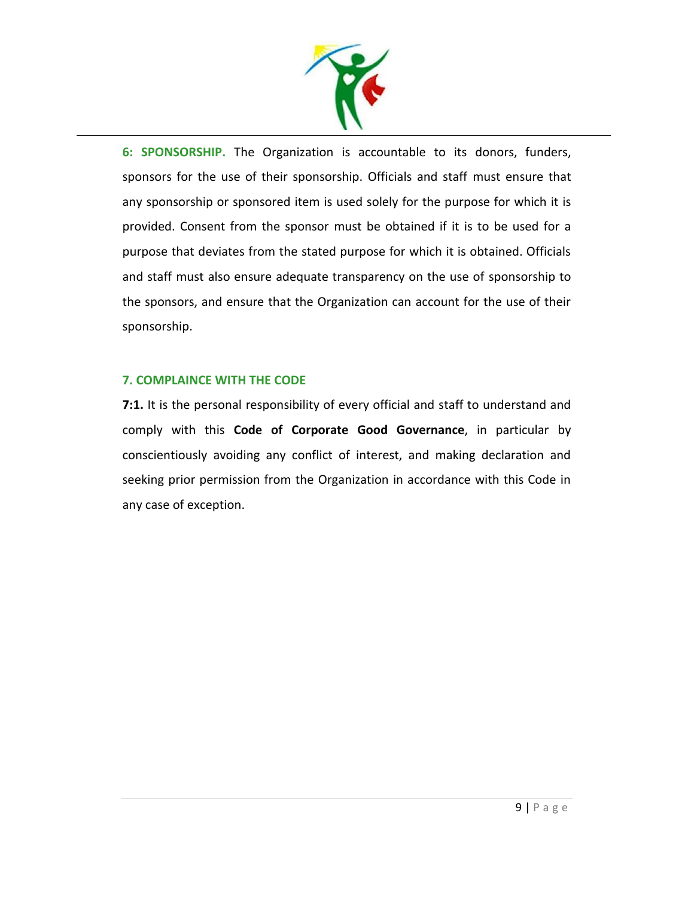

**6: SPONSORSHIP.** The Organization is accountable to its donors, funders, sponsors for the use of their sponsorship. Officials and staff must ensure that any sponsorship or sponsored item is used solely for the purpose for which it is provided. Consent from the sponsor must be obtained if it is to be used for a purpose that deviates from the stated purpose for which it is obtained. Officials and staff must also ensure adequate transparency on the use of sponsorship to the sponsors, and ensure that the Organization can account for the use of their sponsorship.

## **7. COMPLAINCE WITH THE CODE**

**7:1.** It is the personal responsibility of every official and staff to understand and comply with this **Code of Corporate Good Governance**, in particular by conscientiously avoiding any conflict of interest, and making declaration and seeking prior permission from the Organization in accordance with this Code in any case of exception.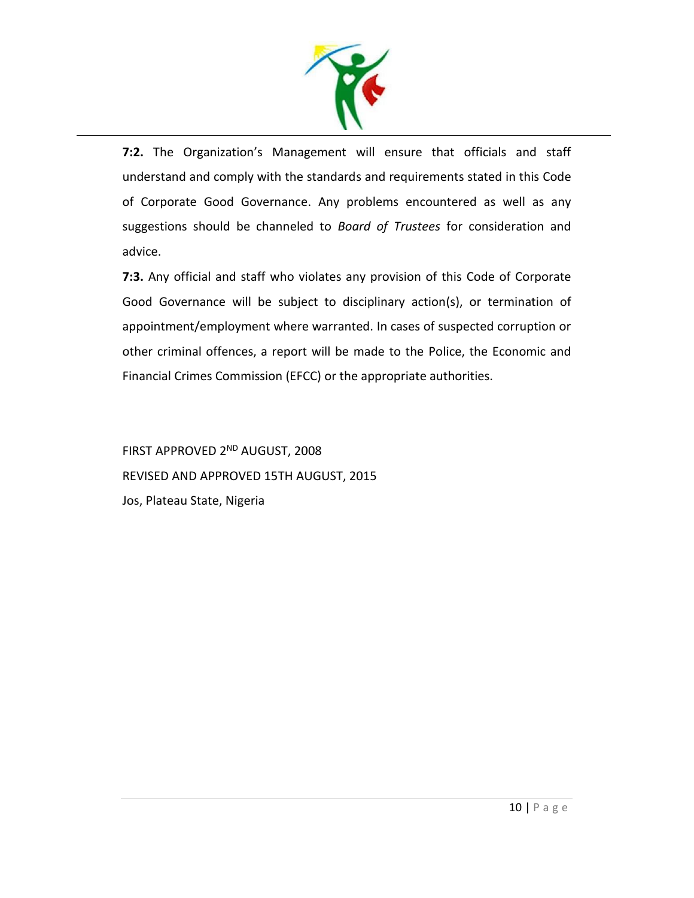

**7:2.** The Organization's Management will ensure that officials and staff understand and comply with the standards and requirements stated in this Code of Corporate Good Governance. Any problems encountered as well as any suggestions should be channeled to *Board of Trustees* for consideration and advice.

**7:3.** Any official and staff who violates any provision of this Code of Corporate Good Governance will be subject to disciplinary action(s), or termination of appointment/employment where warranted. In cases of suspected corruption or other criminal offences, a report will be made to the Police, the Economic and Financial Crimes Commission (EFCC) or the appropriate authorities.

FIRST APPROVED 2ND AUGUST, 2008 REVISED AND APPROVED 15TH AUGUST, 2015 Jos, Plateau State, Nigeria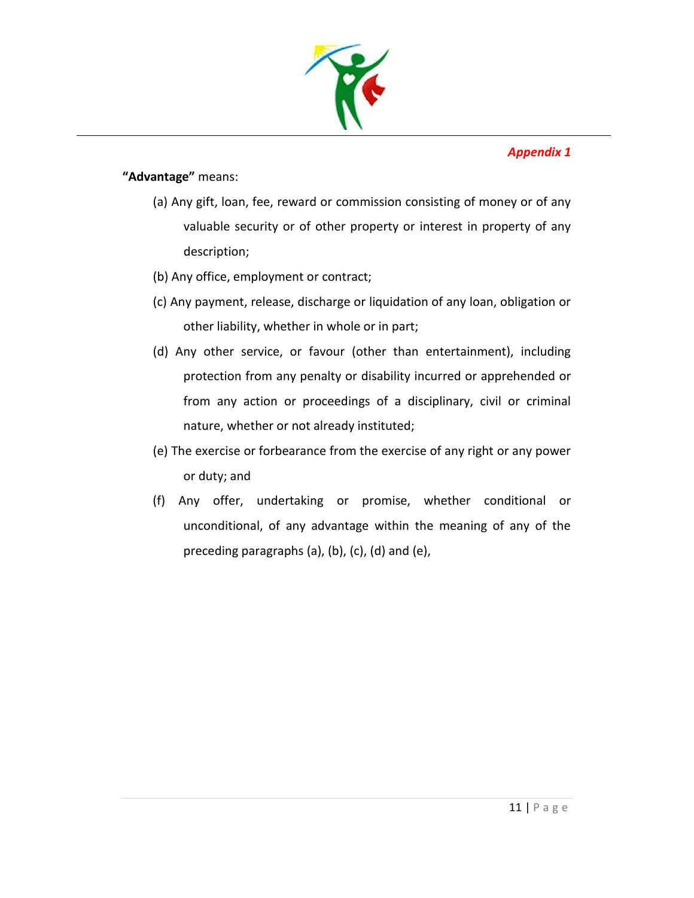

*Appendix 1* 

# **"Advantage"** means:

- (a) Any gift, loan, fee, reward or commission consisting of money or of any valuable security or of other property or interest in property of any description;
- (b) Any office, employment or contract;
- (c) Any payment, release, discharge or liquidation of any loan, obligation or other liability, whether in whole or in part;
- (d) Any other service, or favour (other than entertainment), including protection from any penalty or disability incurred or apprehended or from any action or proceedings of a disciplinary, civil or criminal nature, whether or not already instituted;
- (e) The exercise or forbearance from the exercise of any right or any power or duty; and
- (f) Any offer, undertaking or promise, whether conditional or unconditional, of any advantage within the meaning of any of the preceding paragraphs (a), (b), (c), (d) and (e),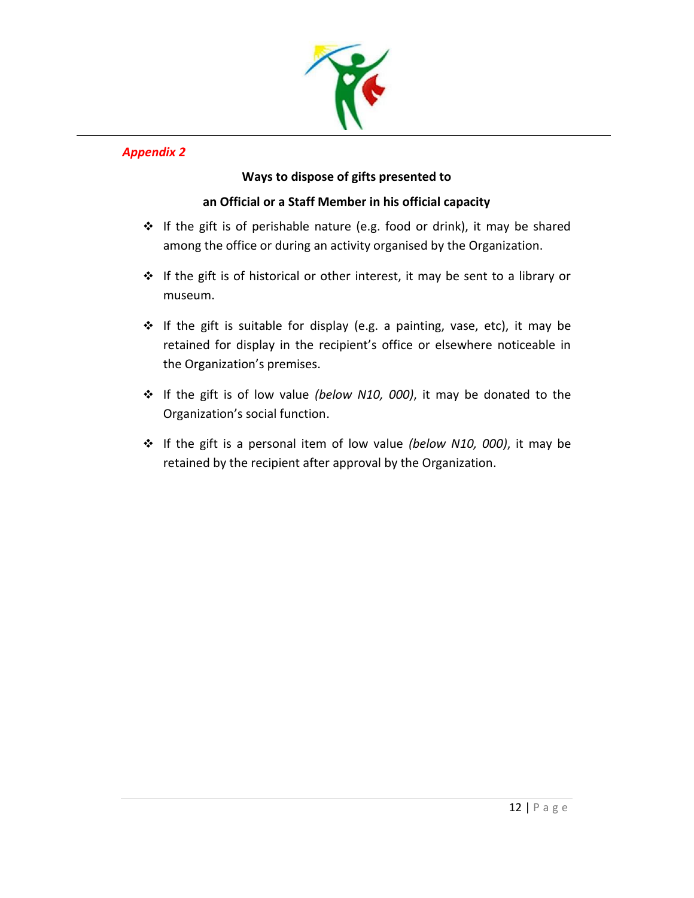

# *Appendix 2*

# **Ways to dispose of gifts presented to**

# **an Official or a Staff Member in his official capacity**

- ❖ If the gift is of perishable nature (e.g. food or drink), it may be shared among the office or during an activity organised by the Organization.
- ❖ If the gift is of historical or other interest, it may be sent to a library or museum.
- ❖ If the gift is suitable for display (e.g. a painting, vase, etc), it may be retained for display in the recipient's office or elsewhere noticeable in the Organization's premises.
- ❖ If the gift is of low value *(below N10, 000)*, it may be donated to the Organization's social function.
- ❖ If the gift is a personal item of low value *(below N10, 000)*, it may be retained by the recipient after approval by the Organization.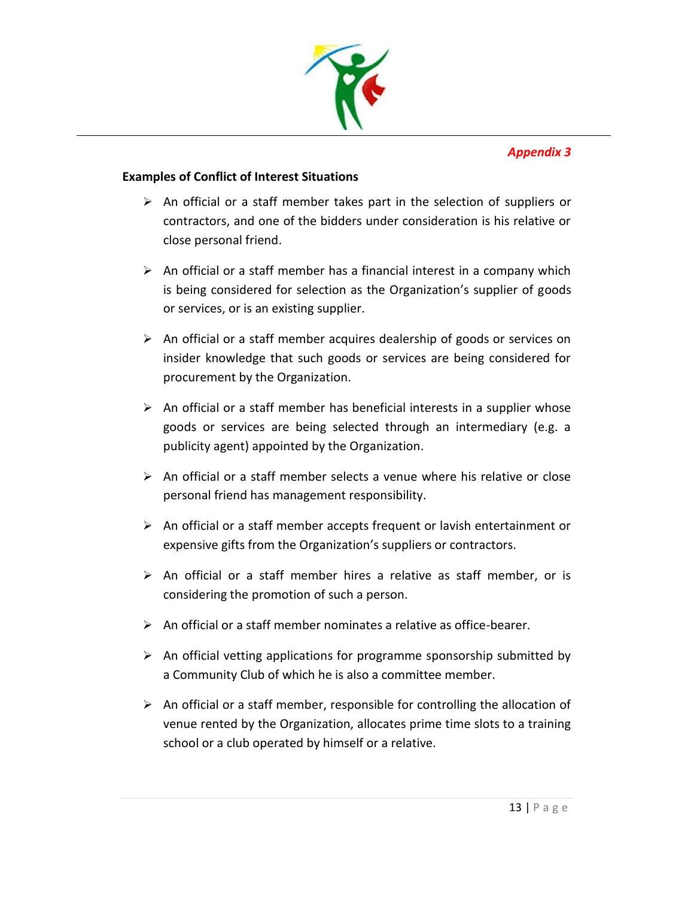

## *Appendix 3*

## **Examples of Conflict of Interest Situations**

- $\triangleright$  An official or a staff member takes part in the selection of suppliers or contractors, and one of the bidders under consideration is his relative or close personal friend.
- $\triangleright$  An official or a staff member has a financial interest in a company which is being considered for selection as the Organization's supplier of goods or services, or is an existing supplier.
- $\triangleright$  An official or a staff member acquires dealership of goods or services on insider knowledge that such goods or services are being considered for procurement by the Organization.
- $\triangleright$  An official or a staff member has beneficial interests in a supplier whose goods or services are being selected through an intermediary (e.g. a publicity agent) appointed by the Organization.
- ➢ An official or a staff member selects a venue where his relative or close personal friend has management responsibility.
- $\triangleright$  An official or a staff member accepts frequent or lavish entertainment or expensive gifts from the Organization's suppliers or contractors.
- $\triangleright$  An official or a staff member hires a relative as staff member, or is considering the promotion of such a person.
- $\triangleright$  An official or a staff member nominates a relative as office-bearer.
- $\triangleright$  An official vetting applications for programme sponsorship submitted by a Community Club of which he is also a committee member.
- $\triangleright$  An official or a staff member, responsible for controlling the allocation of venue rented by the Organization, allocates prime time slots to a training school or a club operated by himself or a relative.